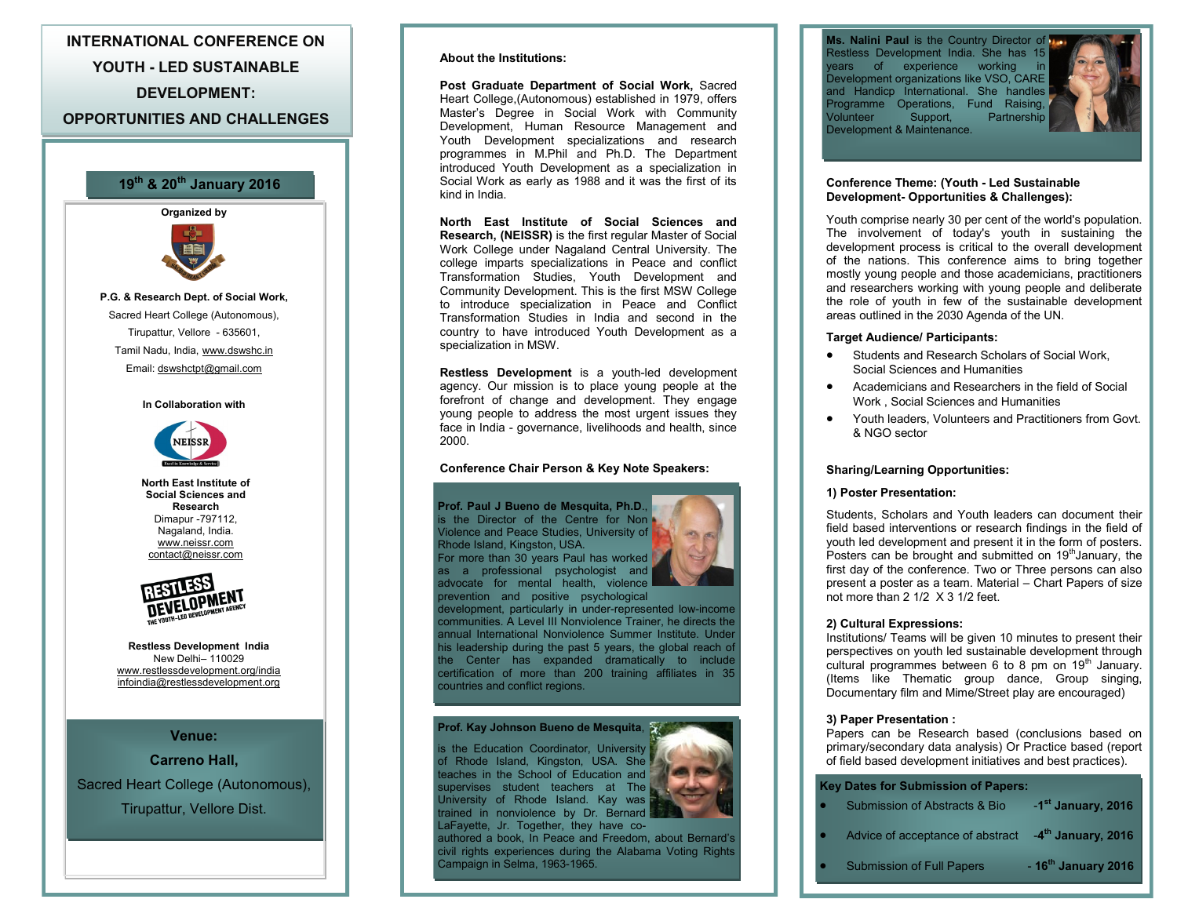**INTERNATIONAL CONFERENCE ON YOUTH - LED SUSTAINABLE DEVELOPMENT: OPPORTUNITIES AND CHALLENGES**



Sacred Heart College (Autonomous), Tirupattur, Vellore Dist.

#### **About the Institutions:**

**Post Graduate Department of Social Work,** Sacred Heart College,(Autonomous) established in 1979, offers Master's Degree in Social Work with Community Development, Human Resource Management and Youth Development specializations and research programmes in M.Phil and Ph.D. The Department introduced Youth Development as a specialization in 19<sup>th</sup> & 20<sup>th</sup> January 2016 **19 19 1988 Conference Theme: (Youth - Led Sustainable and <b>Properties Act 20<sup>th</sup> Conference Theme: (Youth - Led Sustainable** kind in India.

> **North East Institute of Social Sciences and Research, (NEISSR)** is the first regular Master of Social Work College under Nagaland Central University. The college imparts specializations in Peace and conflict Transformation Studies, Youth Development and Community Development. This is the first MSW College to introduce specialization in Peace and Conflict Transformation Studies in India and second in the country to have introduced Youth Development as a specialization in MSW.

> **Restless Development** is a youth-led development agency. Our mission is to place young people at the forefront of change and development. They engage young people to address the most urgent issues they face in India - governance, livelihoods and health, since 2000.

#### **Conference Chair Person & Key Note Speakers:**

**Prof. Paul J Bueno de Mesquita, Ph.D**., is the Director of the Centre for Non Violence and Peace Studies, University of Rhode Island, Kingston, USA. For more than 30 years Paul has worked as a professional psychologist and advocate for mental health, violence prevention and positive psychological



development, particularly in under-represented low-income communities. A Level III Nonviolence Trainer, he directs the annual International Nonviolence Summer Institute. Under his leadership during the past 5 years, the global reach of the Center has expanded dramatically to include certification of more than 200 training affiliates in 35 countries and conflict regions.

#### **Prof. Kay Johnson Bueno de Mesquita**,

is the Education Coordinator, University of Rhode Island, Kingston, USA. She teaches in the School of Education and supervises student teachers at The University of Rhode Island. Kay was trained in nonviolence by Dr. Bernard LaFayette, Jr. Together, they have co-

authored a book, In Peace and Freedom, about Bernard's civil rights experiences during the Alabama Voting Rights Campaign in Selma, 1963-1965.

**Ms. Nalini Paul** is the Country Director of **D** Restless Development India. She has 15 years of experience working in Development organizations like VSO, CARE and Handicp International. She handles Programme Operations, Fund Raising,<br>Volunteer Support, Partnership Volunteer Support, Partnership Development & Maintenance.



#### **Development- Opportunities & Challenges):** Conference Theme: (Youth - Led Sustainable

Youth comprise nearly 30 per cent of the world's population. The involvement of today's youth in sustaining the development process is critical to the overall development of the nations. This conference aims to bring together mostly young people and those academicians, practitioners and researchers working with young people and deliberate the role of youth in few of the sustainable development areas outlined in the 2030 Agenda of the UN.

#### **Target Audience/ Participants:**

- Students and Research Scholars of Social Work, Social Sciences and Humanities
- Academicians and Researchers in the field of Social Work , Social Sciences and Humanities
- Youth leaders, Volunteers and Practitioners from Govt. & NGO sector

#### **Sharing/Learning Opportunities:**

#### **1) Poster Presentation:**

Students, Scholars and Youth leaders can document their field based interventions or research findings in the field of youth led development and present it in the form of posters. Posters can be brought and submitted on  $19<sup>th</sup>$  January, the first day of the conference. Two or Three persons can also present a poster as a team. Material – Chart Papers of size not more than 2 1/2 X 3 1/2 feet.

#### **2) Cultural Expressions:**

Institutions/ Teams will be given 10 minutes to present their perspectives on youth led sustainable development through cultural programmes between 6 to 8 pm on  $19<sup>th</sup>$  January. (Items like Thematic group dance, Group singing, Documentary film and Mime/Street play are encouraged)

#### **3) Paper Presentation :**

Papers can be Research based (conclusions based on primary/secondary data analysis) Or Practice based (report of field based development initiatives and best practices).

| <b>Submission of Abstracts &amp; Bio</b>                        | -1 <sup>st</sup> January, 2016 |
|-----------------------------------------------------------------|--------------------------------|
| Advice of acceptance of abstract -4 <sup>th</sup> January, 2016 |                                |
| <b>Submission of Full Papers</b>                                | $-16th$ January 2016           |